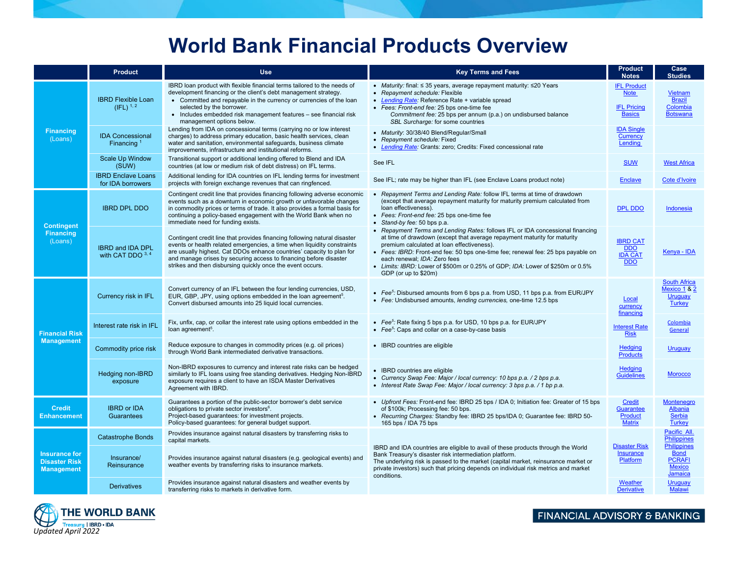# **World Bank Financial Products Overview**

|                                                                   | <b>Product</b>                                 | <b>Use</b>                                                                                                                                                                                                                                                                                                                                                       | <b>Key Terms and Fees</b>                                                                                                                                                                                                                                                                                                                                                                                                             | <b>Product</b><br><b>Notes</b>                                           | Case<br><b>Studies</b>                                                         |
|-------------------------------------------------------------------|------------------------------------------------|------------------------------------------------------------------------------------------------------------------------------------------------------------------------------------------------------------------------------------------------------------------------------------------------------------------------------------------------------------------|---------------------------------------------------------------------------------------------------------------------------------------------------------------------------------------------------------------------------------------------------------------------------------------------------------------------------------------------------------------------------------------------------------------------------------------|--------------------------------------------------------------------------|--------------------------------------------------------------------------------|
| <b>Financing</b><br>(Loans)                                       | <b>IBRD Flexible Loan</b><br>$(IFL)^{1,2}$     | IBRD loan product with flexible financial terms tailored to the needs of<br>development financing or the client's debt management strategy.<br>• Committed and repayable in the currency or currencies of the loan<br>selected by the borrower.<br>• Includes embedded risk management features - see financial risk<br>management options below.                | • Maturity: final: $\leq$ 35 years, average repayment maturity: $\leq$ 20 Years<br>• Repayment schedule: Flexible<br>• Lending Rate: Reference Rate + variable spread<br>• Fees: Front-end fee: 25 bps one-time fee<br>Commitment fee: 25 bps per annum (p.a.) on undisbursed balance<br>SBL Surcharge: for some countries                                                                                                            | <b>IFL Product</b><br><b>Note</b><br><b>IFL Pricing</b><br><b>Basics</b> | Vietnam<br><b>Brazil</b><br>Colombia<br><b>Botswana</b>                        |
|                                                                   | <b>IDA Concessional</b><br>Financing $1$       | Lending from IDA on concessional terms (carrying no or low interest<br>charges) to address primary education, basic health services, clean<br>water and sanitation, environmental safeguards, business climate<br>improvements, infrastructure and institutional reforms.                                                                                        | • Maturity: 30/38/40 Blend/Regular/Small<br>• Repayment schedule: Fixed<br>• Lending Rate: Grants: zero; Credits: Fixed concessional rate                                                                                                                                                                                                                                                                                             | <b>IDA Single</b><br>Currency<br>Lending                                 |                                                                                |
|                                                                   | <b>Scale Up Window</b><br>(SUW)                | Transitional support or additional lending offered to Blend and IDA<br>countries (at low or medium risk of debt distress) on IFL terms.                                                                                                                                                                                                                          | See IFL                                                                                                                                                                                                                                                                                                                                                                                                                               | <b>SUW</b>                                                               | <b>West Africa</b>                                                             |
|                                                                   | <b>IBRD Enclave Loans</b><br>for IDA borrowers | Additional lending for IDA countries on IFL lending terms for investment<br>projects with foreign exchange revenues that can ringfenced.                                                                                                                                                                                                                         | See IFL; rate may be higher than IFL (see Enclave Loans product note)                                                                                                                                                                                                                                                                                                                                                                 | <b>Enclave</b>                                                           | Cote d'Ivoire                                                                  |
| <b>Contingent</b><br><b>Financing</b><br>(Loans)                  | <b>IBRD DPL DDO</b>                            | Contingent credit line that provides financing following adverse economic<br>events such as a downturn in economic growth or unfavorable changes<br>in commodity prices or terms of trade. It also provides a formal basis for<br>continuing a policy-based engagement with the World Bank when no<br>immediate need for funding exists.                         | Repayment Terms and Lending Rate: follow IFL terms at time of drawdown<br>(except that average repayment maturity for maturity premium calculated from<br>loan effectiveness).<br>• Fees: Front-end fee: 25 bps one-time fee<br>• Stand-by fee: 50 bps p.a.                                                                                                                                                                           | <b>DPL DDO</b>                                                           | Indonesia                                                                      |
|                                                                   | <b>IBRD and IDA DPL</b><br>with CAT DDO $3, 4$ | Contingent credit line that provides financing following natural disaster<br>events or health related emergencies, a time when liquidity constraints<br>are usually highest. Cat DDOs enhance countries' capacity to plan for<br>and manage crises by securing access to financing before disaster<br>strikes and then disbursing quickly once the event occurs. | • Repayment Terms and Lending Rates: follows IFL or IDA concessional financing<br>at time of drawdown (except that average repayment maturity for maturity<br>premium calculated at loan effectiveness).<br>• Fees: IBRD: Front-end fee: 50 bps one-time fee; renewal fee: 25 bps payable on<br>each renewal; IDA: Zero fees<br>• Limits: IBRD: Lower of \$500m or 0.25% of GDP; IDA: Lower of \$250m or 0.5%<br>GDP (or up to \$20m) | <b>IBRD CAT</b><br><b>DDO</b><br><b>IDA CAT</b><br><b>DDO</b>            | Kenya - IDA                                                                    |
| <b>Financial Risk</b><br><b>Management</b>                        | Currency risk in IFL                           | Convert currency of an IFL between the four lending currencies, USD,<br>EUR, GBP, JPY, using options embedded in the loan agreement <sup>5</sup> .<br>Convert disbursed amounts into 25 liquid local currencies.                                                                                                                                                 | • Fee <sup>5</sup> : Disbursed amounts from 6 bps p.a. from USD, 11 bps p.a. from EUR/JPY<br>• Fee: Undisbursed amounts, lending currencies, one-time 12.5 bps                                                                                                                                                                                                                                                                        | Local<br>currency<br>financing                                           | <b>South Africa</b><br><b>Mexico 1 &amp; 2</b><br>Uruguay<br><b>Turkey</b>     |
|                                                                   | Interest rate risk in IFL                      | Fix, unfix, cap, or collar the interest rate using options embedded in the<br>loan agreement <sup>5</sup> .                                                                                                                                                                                                                                                      | • Fee <sup>5</sup> : Rate fixing 5 bps p.a. for USD, 10 bps p.a. for EUR/JPY<br>• Fee <sup>5</sup> : Caps and collar on a case-by-case basis                                                                                                                                                                                                                                                                                          | <b>Interest Rate</b><br><b>Risk</b>                                      | Colombia<br>General                                                            |
|                                                                   | Commodity price risk                           | Reduce exposure to changes in commodity prices (e.g. oil prices)<br>through World Bank intermediated derivative transactions.                                                                                                                                                                                                                                    | • IBRD countries are eligible                                                                                                                                                                                                                                                                                                                                                                                                         | <b>Hedging</b><br><b>Products</b>                                        | Uruguay                                                                        |
|                                                                   | Hedging non-IBRD<br>exposure                   | Non-IBRD exposures to currency and interest rate risks can be hedged<br>similarly to IFL loans using free standing derivatives. Hedging Non-IBRD<br>exposure requires a client to have an ISDA Master Derivatives<br>Agreement with IBRD.                                                                                                                        | • IBRD countries are eligible<br>• Currency Swap Fee: Major / local currency: 10 bps p.a. / 2 bps p.a.<br>• Interest Rate Swap Fee: Major / local currency: 3 bps p.a. / 1 bp p.a.                                                                                                                                                                                                                                                    | <b>Hedging</b><br><b>Guidelines</b>                                      | <b>Morocco</b>                                                                 |
| <b>Credit</b><br><b>Enhancement</b>                               | <b>IBRD</b> or <b>IDA</b><br>Guarantees        | Guarantees a portion of the public-sector borrower's debt service<br>obligations to private sector investors <sup>6</sup> .<br>Project-based guarantees: for investment projects.<br>Policy-based guarantees: for general budget support.                                                                                                                        | • Upfront Fees: Front-end fee: IBRD 25 bps / IDA 0; Initiation fee: Greater of 15 bps<br>of \$100k; Processing fee: 50 bps.<br>• Recurring Charges: Standby fee: IBRD 25 bps/IDA 0; Guarantee fee: IBRD 50-<br>165 bps / IDA 75 bps                                                                                                                                                                                                   | Credit<br><b>Guarantee</b><br>Product<br><b>Matrix</b>                   | <b>Montenegro</b><br>Albania<br><b>Serbia</b><br><b>Turkey</b>                 |
| <b>Insurance for</b><br><b>Disaster Risk</b><br><b>Management</b> | <b>Catastrophe Bonds</b>                       | Provides insurance against natural disasters by transferring risks to<br>capital markets.                                                                                                                                                                                                                                                                        | IBRD and IDA countries are eligible to avail of these products through the World<br>Bank Treasury's disaster risk intermediation platform.<br>The underlying risk is passed to the market (capital market, reinsurance market or<br>private investors) such that pricing depends on individual risk metrics and market<br>conditions.                                                                                                 |                                                                          | Pacific All<br><b>Philippines</b>                                              |
|                                                                   | Insurance/<br>Reinsurance                      | Provides insurance against natural disasters (e.g. geological events) and<br>weather events by transferring risks to insurance markets.                                                                                                                                                                                                                          |                                                                                                                                                                                                                                                                                                                                                                                                                                       | <b>Disaster Risk</b><br>Insurance<br>Platform                            | <b>Philippines</b><br><b>Bond</b><br><b>PCRAFI</b><br><b>Mexico</b><br>Jamaica |
|                                                                   | <b>Derivatives</b>                             | Provides insurance against natural disasters and weather events by<br>transferring risks to markets in derivative form.                                                                                                                                                                                                                                          |                                                                                                                                                                                                                                                                                                                                                                                                                                       | Weather<br><b>Derivative</b>                                             | Uruguay<br><b>Malawi</b>                                                       |



FINANCIAL ADVISORY & BANKING